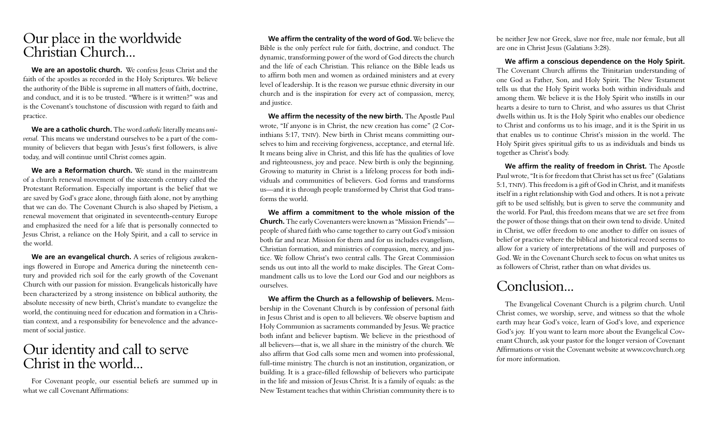# Our place in the worldwide Christian Church...

**We are an apostolic church.** We confess Jesus Christ and the faith of the apostles as recorded in the Holy Scriptures. We believe the authority of the Bible is supreme in all matters of faith, doctrine, and conduct, and it is to be trusted. "Where is it written?" was and is the Covenant's touchstone of discussion with regard to faith and practice.

**We are a catholic church.** The word *catholic* literally means *universal.* This means we understand ourselves to be a part of the community of believers that began with Jesus's first followers, is alive today, and will continue until Christ comes again.

**We are a Reformation church.** We stand in the mainstream of a church renewal movement of the sixteenth century called the Protestant Reformation. Especially important is the belief that we are saved by God's grace alone, through faith alone, not by anything that we can do. The Covenant Church is also shaped by Pietism, a renewal movement that originated in seventeenth-century Europe and emphasized the need for a life that is personally connected to Jesus Christ, a reliance on the Holy Spirit, and a call to service in the world.

**We are an evangelical church.** A series of religious awakenings flowered in Europe and America during the nineteenth century and provided rich soil for the early growth of the Covenant Church with our passion for mission. Evangelicals historically have been characterized by a strong insistence on biblical authority, the absolute necessity of new birth, Christ's mandate to evangelize the world, the continuing need for education and formation in a Christian context, and a responsibility for benevolence and the advancement of social justice.

# Our identity and call to serve Christ in the world...

For Covenant people, our essential beliefs are summed up in what we call Covenant Affirmations:

**We affirm the centrality of the word of God.** We believe the Bible is the only perfect rule for faith, doctrine, and conduct. The dynamic, transforming power of the word of God directs the church and the life of each Christian. This reliance on the Bible leads us to affirm both men and women as ordained ministers and at every level of leadership. It is the reason we pursue ethnic diversity in our church and is the inspiration for every act of compassion, mercy, and justice.

**We affirm the necessity of the new birth.** The Apostle Paul wrote, "If anyone is in Christ, the new creation has come" (2 Corinthians 5:17, TNIV). New birth in Christ means committing ourselves to him and receiving forgiveness, acceptance, and eternal life. It means being alive in Christ, and this life has the qualities of love and righteousness, joy and peace. New birth is only the beginning. Growing to maturity in Christ is a lifelong process for both individuals and communities of believers. God forms and transforms us—and it is through people transformed by Christ that God transforms the world.

**We affirm a commitment to the whole mission of the Church.** The early Covenanters were known as "Mission Friends" people of shared faith who came together to carry out God's mission both far and near. Mission for them and for us includes evangelism, Christian formation, and ministries of compassion, mercy, and justice. We follow Christ's two central calls. The Great Commission sends us out into all the world to make disciples. The Great Commandment calls us to love the Lord our God and our neighbors as ourselves.

**We affirm the Church as a fellowship of believers.** Membership in the Covenant Church is by confession of personal faith in Jesus Christ and is open to all believers. We observe baptism and Holy Communion as sacraments commanded by Jesus. We practice both infant and believer baptism. We believe in the priesthood of all believers—that is, we all share in the ministry of the church. We also affirm that God calls some men and women into professional, full-time ministry. The church is not an institution, organization, or building. It is a grace-filled fellowship of believers who participate in the life and mission of Jesus Christ. It is a family of equals: as the New Testament teaches that within Christian community there is to be neither Jew nor Greek, slave nor free, male nor female, but all are one in Christ Jesus (Galatians 3:28).

**We affirm a conscious dependence on the Holy Spirit.**  The Covenant Church affirms the Trinitarian understanding of one God as Father, Son, and Holy Spirit. The New Testament tells us that the Holy Spirit works both within individuals and among them. We believe it is the Holy Spirit who instills in our hearts a desire to turn to Christ, and who assures us that Christ dwells within us. It is the Holy Spirit who enables our obedience to Christ and conforms us to his image, and it is the Spirit in us that enables us to continue Christ's mission in the world. The Holy Spirit gives spiritual gifts to us as individuals and binds us together as Christ's body.

**We affirm the reality of freedom in Christ.** The Apostle Paul wrote, "It is for freedom that Christ has set us free" (Galatians 5:1, TNIV). This freedom is a gift of God in Christ, and it manifests itself in a right relationship with God and others. It is not a private gift to be used selfishly, but is given to serve the community and the world. For Paul, this freedom means that we are set free from the power of those things that on their own tend to divide. United in Christ, we offer freedom to one another to differ on issues of belief or practice where the biblical and historical record seems to allow for a variety of interpretations of the will and purposes of God. We in the Covenant Church seek to focus on what unites us as followers of Christ, rather than on what divides us.

# Conclusion...

The Evangelical Covenant Church is a pilgrim church. Until Christ comes, we worship, serve, and witness so that the whole earth may hear God's voice, learn of God's love, and experience God's joy. If you want to learn more about the Evangelical Covenant Church, ask your pastor for the longer version of Covenant Affirmations or visit the Covenant website at www.covchurch.org for more information.